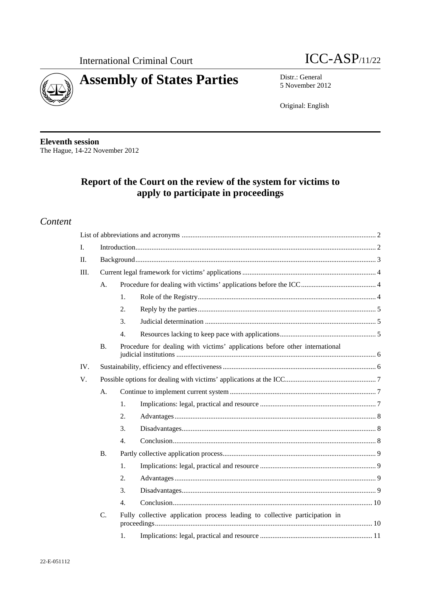



5 November 2012

Original: English

**Eleventh session**  The Hague, 14-22 November 2012

## **Report of the Court on the review of the system for victims to apply to participate in proceedings**

## *Content*

| $\mathbf{I}$ . |                |                  |                                                                             |  |  |  |
|----------------|----------------|------------------|-----------------------------------------------------------------------------|--|--|--|
| $\Pi$ .        |                |                  |                                                                             |  |  |  |
| III.           |                |                  |                                                                             |  |  |  |
|                | A <sub>1</sub> |                  |                                                                             |  |  |  |
|                |                | $\mathbf{1}$ .   |                                                                             |  |  |  |
|                |                | 2.               |                                                                             |  |  |  |
|                |                | 3.               |                                                                             |  |  |  |
|                |                | $\overline{4}$ . |                                                                             |  |  |  |
|                | <b>B.</b>      |                  | Procedure for dealing with victims' applications before other international |  |  |  |
| IV.            |                |                  |                                                                             |  |  |  |
| V.             |                |                  |                                                                             |  |  |  |
| A <sub>1</sub> |                |                  |                                                                             |  |  |  |
|                |                | 1.               |                                                                             |  |  |  |
|                |                | $\overline{2}$ . |                                                                             |  |  |  |
|                |                | 3.               |                                                                             |  |  |  |
|                |                | $\overline{4}$ . |                                                                             |  |  |  |
|                | <b>B.</b>      |                  |                                                                             |  |  |  |
|                |                | 1.               |                                                                             |  |  |  |
|                |                | $\overline{2}$ . |                                                                             |  |  |  |
|                |                | 3.               |                                                                             |  |  |  |
|                |                | $\overline{4}$ . |                                                                             |  |  |  |
|                | C.             |                  | Fully collective application process leading to collective participation in |  |  |  |
|                |                | 1.               |                                                                             |  |  |  |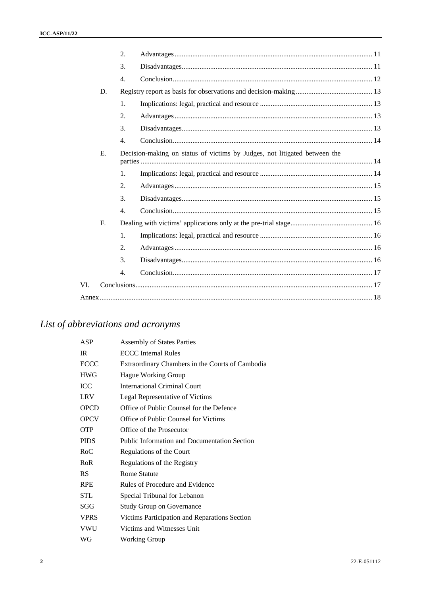|     |    | 2.                                                                        |  |  |
|-----|----|---------------------------------------------------------------------------|--|--|
|     |    | 3.                                                                        |  |  |
|     |    | 4.                                                                        |  |  |
|     | D. |                                                                           |  |  |
|     |    | 1.                                                                        |  |  |
|     |    | $\overline{2}$ .                                                          |  |  |
|     |    | 3.                                                                        |  |  |
|     |    | $\overline{4}$ .                                                          |  |  |
|     | E. | Decision-making on status of victims by Judges, not litigated between the |  |  |
|     |    | 1.                                                                        |  |  |
|     |    | 2.                                                                        |  |  |
|     |    | 3.                                                                        |  |  |
|     |    | $\overline{4}$ .                                                          |  |  |
|     | F. |                                                                           |  |  |
|     |    | 1.                                                                        |  |  |
|     |    | 2.                                                                        |  |  |
|     |    | 3.                                                                        |  |  |
|     |    | $\overline{4}$ .                                                          |  |  |
| VI. |    |                                                                           |  |  |
|     |    |                                                                           |  |  |
|     |    |                                                                           |  |  |

# *List of abbreviations and acronyms*

| ASP         | <b>Assembly of States Parties</b>                   |
|-------------|-----------------------------------------------------|
| <b>IR</b>   | <b>ECCC</b> Internal Rules                          |
| <b>ECCC</b> | Extraordinary Chambers in the Courts of Cambodia    |
| <b>HWG</b>  | <b>Hague Working Group</b>                          |
| ICC         | <b>International Criminal Court</b>                 |
| LRV         | Legal Representative of Victims                     |
| <b>OPCD</b> | Office of Public Counsel for the Defence            |
| <b>OPCV</b> | Office of Public Counsel for Victims                |
| <b>OTP</b>  | Office of the Prosecutor                            |
| <b>PIDS</b> | <b>Public Information and Documentation Section</b> |
| RoC         | Regulations of the Court                            |
| RoR         | Regulations of the Registry                         |
| <b>RS</b>   | Rome Statute                                        |
| <b>RPE</b>  | Rules of Procedure and Evidence                     |
| STL         | Special Tribunal for Lebanon                        |
| SGG         | <b>Study Group on Governance</b>                    |
| <b>VPRS</b> | Victims Participation and Reparations Section       |
| <b>VWU</b>  | Victims and Witnesses Unit                          |
| WG          | Working Group                                       |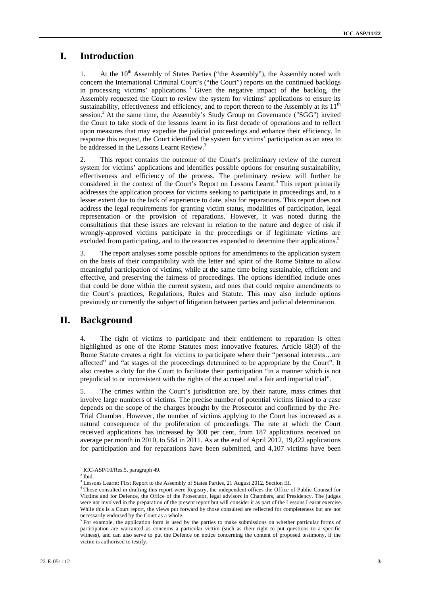## **I. Introduction**

At the 10<sup>th</sup> Assembly of States Parties ("the Assembly"), the Assembly noted with concern the International Criminal Court's ("the Court") reports on the continued backlogs in processing victims' applications.<sup>1</sup> Given the negative impact of the backlog, the Assembly requested the Court to review the system for victims' applications to ensure its sustainability, effectiveness and efficiency, and to report thereon to the Assembly at its  $11<sup>th</sup>$ session.<sup>2</sup> At the same time, the Assembly's Study Group on Governance ("SGG") invited the Court to take stock of the lessons learnt in its first decade of operations and to reflect upon measures that may expedite the judicial proceedings and enhance their efficiency. In response this request, the Court identified the system for victims' participation as an area to be addressed in the Lessons Learnt Review.<sup>3</sup>

2. This report contains the outcome of the Court's preliminary review of the current system for victims' applications and identifies possible options for ensuring sustainability, effectiveness and efficiency of the process. The preliminary review will further be considered in the context of the Court's Report on Lessons Learnt.<sup>4</sup> This report primarily addresses the application process for victims seeking to participate in proceedings and, to a lesser extent due to the lack of experience to date, also for reparations. This report does not address the legal requirements for granting victim status, modalities of participation, legal representation or the provision of reparations. However, it was noted during the consultations that these issues are relevant in relation to the nature and degree of risk if wrongly-approved victims participate in the proceedings or if legitimate victims are excluded from participating, and to the resources expended to determine their applications.<sup>5</sup>

3. The report analyses some possible options for amendments to the application system on the basis of their compatibility with the letter and spirit of the Rome Statute to allow meaningful participation of victims, while at the same time being sustainable, efficient and effective, and preserving the fairness of proceedings. The options identified include ones that could be done within the current system, and ones that could require amendments to the Court's practices, Regulations, Rules and Statute. This may also include options previously or currently the subject of litigation between parties and judicial determination.

## **II. Background**

4. The right of victims to participate and their entitlement to reparation is often highlighted as one of the Rome Statutes most innovative features. Article 68(3) of the Rome Statute creates a right for victims to participate where their "personal interests…are affected" and "at stages of the proceedings determined to be appropriate by the Court". It also creates a duty for the Court to facilitate their participation "in a manner which is not prejudicial to or inconsistent with the rights of the accused and a fair and impartial trial".

5. The crimes within the Court's jurisdiction are, by their nature, mass crimes that involve large numbers of victims. The precise number of potential victims linked to a case depends on the scope of the charges brought by the Prosecutor and confirmed by the Pre-Trial Chamber. However, the number of victims applying to the Court has increased as a natural consequence of the proliferation of proceedings. The rate at which the Court received applications has increased by 300 per cent, from 187 applications received on average per month in 2010, to 564 in 2011. As at the end of April 2012, 19,422 applications for participation and for reparations have been submitted, and 4,107 victims have been

 $1$  ICC-ASP/10/Res.5, paragraph 49.

 $2$  Ibid.

<sup>&</sup>lt;sup>3</sup> Lessons Learnt: First Report to the Assembly of States Parties, 21 August 2012, Section III.

<sup>4</sup> Those consulted in drafting this report were Registry, the independent offices the Office of Public Counsel for Victims and for Defence, the Office of the Prosecutor, legal advisors in Chambers, and Presidency. The judges were not involved in the preparation of the present report but will consider it as part of the Lessons Learnt exercise. While this is a Court report, the views put forward by those consulted are reflected for completeness but are not necessarily endorsed by the Court as a whole.

<sup>&</sup>lt;sup>5</sup> For example, the application form is used by the parties to make submissions on whether particular forms of participation are warranted as concerns a particular victim (such as their right to put questions to a specific witness), and can also serve to put the Defence on notice concerning the content of proposed testimony, if the victim is authorised to testify.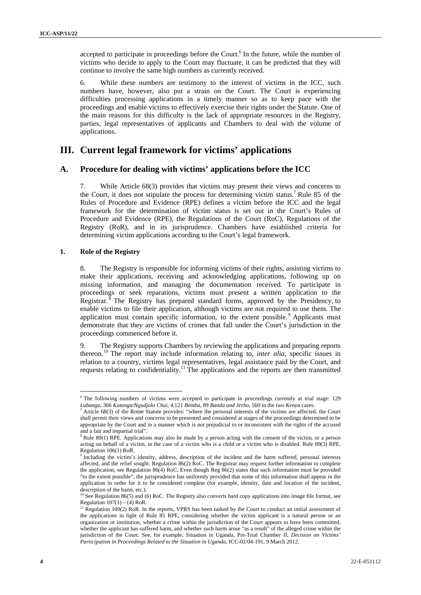accepted to participate in proceedings before the Court.<sup>6</sup> In the future, while the number of victims who decide to apply to the Court may fluctuate, it can be predicted that they will continue to involve the same high numbers as currently received.

6. While these numbers are testimony to the interest of victims in the ICC, such numbers have, however, also put a strain on the Court. The Court is experiencing difficulties processing applications in a timely manner so as to keep pace with the proceedings and enable victims to effectively exercise their rights under the Statute. One of the main reasons for this difficulty is the lack of appropriate resources in the Registry, parties, legal representatives of applicants and Chambers to deal with the volume of applications.

## **III. Current legal framework for victims' applications**

### **A. Procedure for dealing with victims' applications before the ICC**

7. While Article 68(3) provides that victims may present their views and concerns to the Court, it does not stipulate the process for determining victim status.<sup>7</sup> Rule 85 of the Rules of Procedure and Evidence (RPE) defines a victim before the ICC and the legal framework for the determination of victim status is set out in the Court's Rules of Procedure and Evidence (RPE), the Regulations of the Court (RoC), Regulations of the Registry (RoR), and in its jurisprudence. Chambers have established criteria for determining victim applications according to the Court's legal framework.

#### **1. Role of the Registry**

8. The Registry is responsible for informing victims of their rights, assisting victims to make their applications, receiving and acknowledging applications, following up on missing information, and managing the documentation received. To participate in proceedings or seek reparations, victims must present a written application to the Registrar. <sup>8</sup> The Registry has prepared standard forms, approved by the Presidency, to enable victims to file their application, although victims are not required to use them. The application must contain specific information, to the extent possible.<sup>9</sup> Applicants must demonstrate that they are victims of crimes that fall under the Court's jurisdiction in the proceedings commenced before it.

9. The Registry supports Chambers by reviewing the applications and preparing reports thereon.10 The report may include information relating to, *inter alia*, specific issues in relation to a country, victims legal representatives, legal assistance paid by the Court, and requests relating to confidentiality.<sup>11</sup> The applications and the reports are then transmitted

 6 The following numbers of victims were accepted to participate in proceedings currently at trial stage: 129 *Lubanga*, 366 *Katanga/Ngudjolo Chui*, 4,121 *Bemba*, 89 *Banda and Jerbo*, 560 in the two *Kenya* cases. 7

 $^7$  Article 68(3) of the Rome Statute provides: "where the personal interests of the victims are affected, the Court shall permit their views and concerns to be presented and considered at stages of the proceedings determined to be appropriate by the Court and in a manner which is not prejudicial to or inconsistent with the rights of the accused and a fair and impartial trial".

<sup>&</sup>lt;sup>8</sup> Rule 89(1) RPE. Applications may also be made by a person acting with the consent of the victim, or a person acting on behalf of a victim, in the case of a victim who is a child or a victim who is disabled. Rule 89(3) RPE. Regulation 106(1) RoR.

<sup>&</sup>lt;sup>9</sup> Including the victim's identity, address, description of the incident and the harm suffered, personal interests affected, and the relief sought. Regulation 86(2) RoC. The Registrar may request further information to complete the application, see Regulation 86(4) RoC. Even though Reg 86(2) states that such information must be provided "to the extent possible", the jurisprudence has uniformly provided that some of this information shall appear in the application in order for it to be considered complete (for example, identity, date and location of the incident, description of the harm, etc.).

<sup>&</sup>lt;sup>10</sup> See Regulation 86(5) and (6) RoC. The Registry also converts hard copy applications into image file format, see Regulation  $107(1) - (4)$  RoR.

<sup>&</sup>lt;sup>11</sup> Regulation 109(2) RoR. In the reports, VPRS has been tasked by the Court to conduct an initial assessment of the applications in light of Rule 85 RPE, considering whether the victim applicant is a natural person or an organization or institution, whether a crime within the jurisdiction of the Court appears to have been committed, whether the applicant has suffered harm, and whether such harm arose "as a result" of the alleged crime within the jurisdiction of the Court. See, for example, Situation in Uganda, Pre-Trial Chamber II, *Decision on Victims' Participation in Proceedings Related to the Situation in Uganda,* ICC-02/04-191, 9 March 2012.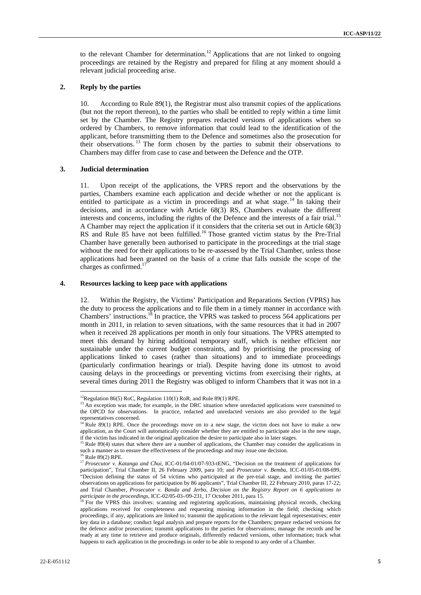to the relevant Chamber for determination.<sup>12</sup> Applications that are not linked to ongoing proceedings are retained by the Registry and prepared for filing at any moment should a relevant judicial proceeding arise.

#### **2. Reply by the parties**

10. According to Rule 89(1), the Registrar must also transmit copies of the applications (but not the report thereon), to the parties who shall be entitled to reply within a time limit set by the Chamber. The Registry prepares redacted versions of applications when so ordered by Chambers, to remove information that could lead to the identification of the applicant, before transmitting them to the Defence and sometimes also the prosecution for their observations. 13 The form chosen by the parties to submit their observations to Chambers may differ from case to case and between the Defence and the OTP.

#### **3. Judicial determination**

11. Upon receipt of the applications, the VPRS report and the observations by the parties, Chambers examine each application and decide whether or not the applicant is entitled to participate as a victim in proceedings and at what stage.<sup>14</sup> In taking their decisions, and in accordance with Article 68(3) RS, Chambers evaluate the different interests and concerns, including the rights of the Defence and the interests of a fair trial.<sup>15</sup> A Chamber may reject the application if it considers that the criteria set out in Article 68(3) RS and Rule 85 have not been fulfilled.<sup>16</sup> Those granted victim status by the Pre-Trial Chamber have generally been authorised to participate in the proceedings at the trial stage without the need for their applications to be re-assessed by the Trial Chamber, unless those applications had been granted on the basis of a crime that falls outside the scope of the charges as confirmed.<sup>1</sup>

#### **4. Resources lacking to keep pace with applications**

12. Within the Registry, the Victims' Participation and Reparations Section (VPRS) has the duty to process the applications and to file them in a timely manner in accordance with Chambers' instructions.18 In practice, the VPRS was tasked to process 564 applications per month in 2011, in relation to seven situations, with the same resources that it had in 2007 when it received 28 applications per month in only four situations. The VPRS attempted to meet this demand by hiring additional temporary staff, which is neither efficient nor sustainable under the current budget constraints, and by prioritising the processing of applications linked to cases (rather than situations) and to immediate proceedings (particularly confirmation hearings or trial). Despite having done its utmost to avoid causing delays in the proceedings or preventing victims from exercising their rights, at several times during 2011 the Registry was obliged to inform Chambers that it was not in a

<sup>&</sup>lt;sup>12</sup>Regulation 86(5) RoC, Regulation 110(1) RoR, and Rule 89(1) RPE.

 $13$  An exception was made, for example, in the DRC situation where unredacted applications were transmitted to the OPCD for observations. In practice, redacted and unredacted versions are also provided to the legal representatives concerned.

Rule 89(1) RPE. Once the proceedings move on to a new stage, the victim does not have to make a new application, as the Court will automatically consider whether they are entitled to participate also in the new stage, if the victim has indicated in the original application the desire to participate also in later stages.<br><sup>15</sup> Rule 89(4) states that where there are a number of applications, the Chamber may consider the applications in

such a manner as to ensure the effectiveness of the proceedings and may issue one decision.<br><sup>16</sup> Rule 89(2) RPE.

<sup>&</sup>lt;sup>17</sup> *Prosecutor v. Katanga and Chui*, ICC-01/04-01/07-933-tENG, "Decision on the treatment of applications for participation", Trial Chamber II, 26 February 2009, para 10; and *Prosecutor v. Bemba*, ICC-01/05-01/08-699, "Decision defining the status of 54 victims who participated at the pre-trial stage, and inviting the parties' observations on applications for participation by 86 applicants", Trial Chamber III, 22 February 2010, paras 17-22; and Trial Chamber, *Prosecutor v. Banda and Jerbo, Decision on the Registry Report on 6 applications to participate in the proceedings*, ICC-02/05-03-/09-231, 17 October 2011, para 15. 18 For the VPRS this involves: scanning and registering applications, maintaining physical records, checking

applications received for completeness and requesting missing information in the field; checking which proceedings, if any, applications are linked to; transmit the applications to the relevant legal representatives; enter key data in a database; conduct legal analysis and prepare reports for the Chambers; prepare redacted versions for the defence and/or prosecution; transmit applications to the parties for observations; manage the records and be ready at any time to retrieve and produce originals, differently redacted versions, other information; track what happens to each application in the proceedings in order to be able to respond to any order of a Chamber.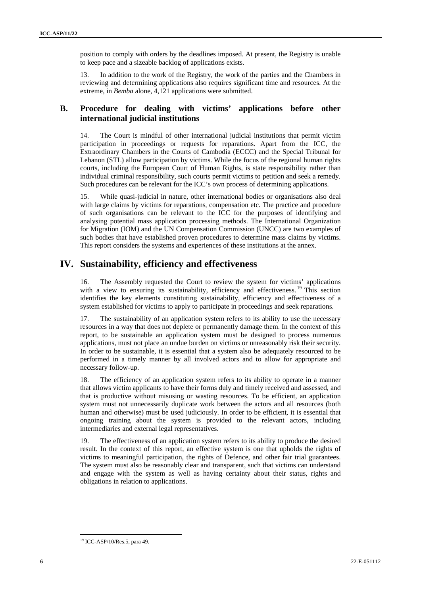position to comply with orders by the deadlines imposed. At present, the Registry is unable to keep pace and a sizeable backlog of applications exists.

13. In addition to the work of the Registry, the work of the parties and the Chambers in reviewing and determining applications also requires significant time and resources. At the extreme, in *Bemba* alone, 4,121 applications were submitted.

## **B. Procedure for dealing with victims' applications before other international judicial institutions**

14. The Court is mindful of other international judicial institutions that permit victim participation in proceedings or requests for reparations. Apart from the ICC, the Extraordinary Chambers in the Courts of Cambodia (ECCC) and the Special Tribunal for Lebanon (STL) allow participation by victims. While the focus of the regional human rights courts, including the European Court of Human Rights, is state responsibility rather than individual criminal responsibility, such courts permit victims to petition and seek a remedy. Such procedures can be relevant for the ICC's own process of determining applications.

15. While quasi-judicial in nature, other international bodies or organisations also deal with large claims by victims for reparations, compensation etc. The practice and procedure of such organisations can be relevant to the ICC for the purposes of identifying and analysing potential mass application processing methods. The International Organization for Migration (IOM) and the UN Compensation Commission (UNCC) are two examples of such bodies that have established proven procedures to determine mass claims by victims. This report considers the systems and experiences of these institutions at the annex.

## **IV. Sustainability, efficiency and effectiveness**

16. The Assembly requested the Court to review the system for victims' applications with a view to ensuring its sustainability, efficiency and effectiveness.<sup>19</sup> This section identifies the key elements constituting sustainability, efficiency and effectiveness of a system established for victims to apply to participate in proceedings and seek reparations.

17. The sustainability of an application system refers to its ability to use the necessary resources in a way that does not deplete or permanently damage them. In the context of this report, to be sustainable an application system must be designed to process numerous applications, must not place an undue burden on victims or unreasonably risk their security. In order to be sustainable, it is essential that a system also be adequately resourced to be performed in a timely manner by all involved actors and to allow for appropriate and necessary follow-up.

18. The efficiency of an application system refers to its ability to operate in a manner that allows victim applicants to have their forms duly and timely received and assessed, and that is productive without misusing or wasting resources. To be efficient, an application system must not unnecessarily duplicate work between the actors and all resources (both human and otherwise) must be used judiciously. In order to be efficient, it is essential that ongoing training about the system is provided to the relevant actors, including intermediaries and external legal representatives.

19. The effectiveness of an application system refers to its ability to produce the desired result. In the context of this report, an effective system is one that upholds the rights of victims to meaningful participation, the rights of Defence, and other fair trial guarantees. The system must also be reasonably clear and transparent, such that victims can understand and engage with the system as well as having certainty about their status, rights and obligations in relation to applications.

<sup>19</sup> ICC-ASP/10/Res.5, para 49.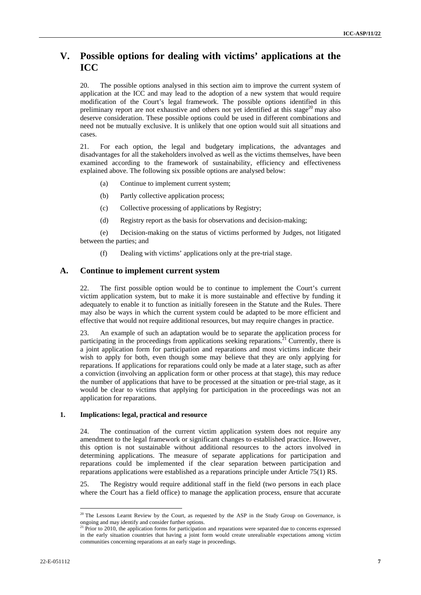## **V. Possible options for dealing with victims' applications at the ICC**

20. The possible options analysed in this section aim to improve the current system of application at the ICC and may lead to the adoption of a new system that would require modification of the Court's legal framework. The possible options identified in this preliminary report are not exhaustive and others not yet identified at this stage<sup>20</sup> may also deserve consideration. These possible options could be used in different combinations and need not be mutually exclusive. It is unlikely that one option would suit all situations and cases.

21. For each option, the legal and budgetary implications, the advantages and disadvantages for all the stakeholders involved as well as the victims themselves, have been examined according to the framework of sustainability, efficiency and effectiveness explained above. The following six possible options are analysed below:

- (a) Continue to implement current system;
- (b) Partly collective application process;
- (c) Collective processing of applications by Registry;
- (d) Registry report as the basis for observations and decision-making;

(e) Decision-making on the status of victims performed by Judges, not litigated between the parties; and

(f) Dealing with victims' applications only at the pre-trial stage.

### **A. Continue to implement current system**

22. The first possible option would be to continue to implement the Court's current victim application system, but to make it is more sustainable and effective by funding it adequately to enable it to function as initially foreseen in the Statute and the Rules. There may also be ways in which the current system could be adapted to be more efficient and effective that would not require additional resources, but may require changes in practice.

23. An example of such an adaptation would be to separate the application process for participating in the proceedings from applications seeking reparations.<sup>21</sup> Currently, there is a joint application form for participation and reparations and most victims indicate their wish to apply for both, even though some may believe that they are only applying for reparations. If applications for reparations could only be made at a later stage, such as after a conviction (involving an application form or other process at that stage), this may reduce the number of applications that have to be processed at the situation or pre-trial stage, as it would be clear to victims that applying for participation in the proceedings was not an application for reparations.

#### **1. Implications: legal, practical and resource**

24. The continuation of the current victim application system does not require any amendment to the legal framework or significant changes to established practice. However, this option is not sustainable without additional resources to the actors involved in determining applications. The measure of separate applications for participation and reparations could be implemented if the clear separation between participation and reparations applications were established as a reparations principle under Article 75(1) RS.

25. The Registry would require additional staff in the field (two persons in each place where the Court has a field office) to manage the application process, ensure that accurate

 $^{20}$  The Lessons Learnt Review by the Court, as requested by the ASP in the Study Group on Governance, is ongoing and may identify and consider further options.

<sup>&</sup>lt;sup>21</sup> Prior to 2010, the application forms for participation and reparations were separated due to concerns expressed in the early situation countries that having a joint form would create unrealisable expectations among victim communities concerning reparations at an early stage in proceedings.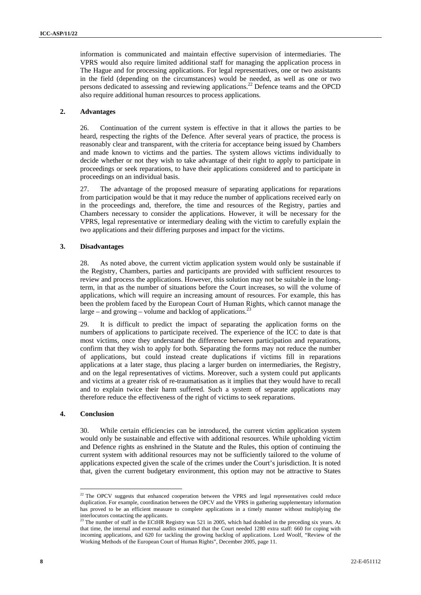information is communicated and maintain effective supervision of intermediaries. The VPRS would also require limited additional staff for managing the application process in The Hague and for processing applications. For legal representatives, one or two assistants in the field (depending on the circumstances) would be needed, as well as one or two persons dedicated to assessing and reviewing applications.<sup>22</sup> Defence teams and the OPCD also require additional human resources to process applications.

#### **2. Advantages**

26. Continuation of the current system is effective in that it allows the parties to be heard, respecting the rights of the Defence. After several years of practice, the process is reasonably clear and transparent, with the criteria for acceptance being issued by Chambers and made known to victims and the parties. The system allows victims individually to decide whether or not they wish to take advantage of their right to apply to participate in proceedings or seek reparations, to have their applications considered and to participate in proceedings on an individual basis.

27. The advantage of the proposed measure of separating applications for reparations from participation would be that it may reduce the number of applications received early on in the proceedings and, therefore, the time and resources of the Registry, parties and Chambers necessary to consider the applications. However, it will be necessary for the VPRS, legal representative or intermediary dealing with the victim to carefully explain the two applications and their differing purposes and impact for the victims.

#### **3. Disadvantages**

28. As noted above, the current victim application system would only be sustainable if the Registry, Chambers, parties and participants are provided with sufficient resources to review and process the applications. However, this solution may not be suitable in the longterm, in that as the number of situations before the Court increases, so will the volume of applications, which will require an increasing amount of resources. For example, this has been the problem faced by the European Court of Human Rights, which cannot manage the large – and growing – volume and backlog of applications.<sup>23</sup>

29. It is difficult to predict the impact of separating the application forms on the numbers of applications to participate received. The experience of the ICC to date is that most victims, once they understand the difference between participation and reparations, confirm that they wish to apply for both. Separating the forms may not reduce the number of applications, but could instead create duplications if victims fill in reparations applications at a later stage, thus placing a larger burden on intermediaries, the Registry, and on the legal representatives of victims. Moreover, such a system could put applicants and victims at a greater risk of re-traumatisation as it implies that they would have to recall and to explain twice their harm suffered. Such a system of separate applications may therefore reduce the effectiveness of the right of victims to seek reparations.

#### **4. Conclusion**

 $\overline{a}$ 

30. While certain efficiencies can be introduced, the current victim application system would only be sustainable and effective with additional resources. While upholding victim and Defence rights as enshrined in the Statute and the Rules, this option of continuing the current system with additional resources may not be sufficiently tailored to the volume of applications expected given the scale of the crimes under the Court's jurisdiction. It is noted that, given the current budgetary environment, this option may not be attractive to States

 $22$  The OPCV suggests that enhanced cooperation between the VPRS and legal representatives could reduce duplication. For example, coordination between the OPCV and the VPRS in gathering supplementary information has proved to be an efficient measure to complete applications in a timely manner without multiplying the interlocutors contacting the applicants.

 $^{23}$  The number of staff in the ECtHR Registry was 521 in 2005, which had doubled in the preceding six years. At that time, the internal and external audits estimated that the Court needed 1280 extra staff: 660 for coping with incoming applications, and 620 for tackling the growing backlog of applications. Lord Woolf, "Review of the Working Methods of the European Court of Human Rights", December 2005, page 11.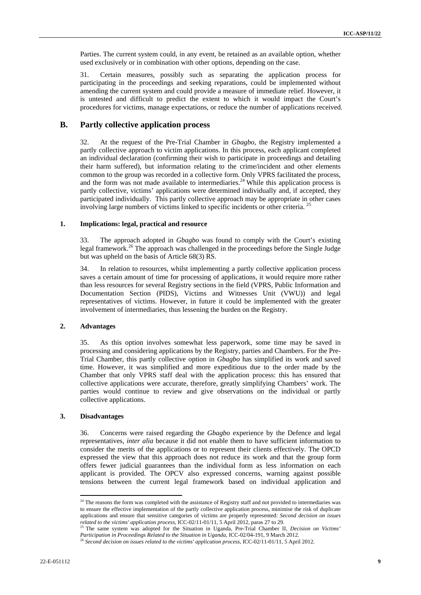Parties. The current system could, in any event, be retained as an available option, whether used exclusively or in combination with other options, depending on the case.

31. Certain measures, possibly such as separating the application process for participating in the proceedings and seeking reparations, could be implemented without amending the current system and could provide a measure of immediate relief. However, it is untested and difficult to predict the extent to which it would impact the Court's procedures for victims, manage expectations, or reduce the number of applications received.

#### **B. Partly collective application process**

32. At the request of the Pre-Trial Chamber in *Gbagbo*, the Registry implemented a partly collective approach to victim applications. In this process, each applicant completed an individual declaration (confirming their wish to participate in proceedings and detailing their harm suffered), but information relating to the crime/incident and other elements common to the group was recorded in a collective form. Only VPRS facilitated the process, and the form was not made available to intermediaries.<sup>24</sup> While this application process is partly collective, victims' applications were determined individually and, if accepted, they participated individually. This partly collective approach may be appropriate in other cases involving large numbers of victims linked to specific incidents or other criteria.

#### **1. Implications: legal, practical and resource**

33. The approach adopted in *Gbagbo* was found to comply with the Court's existing legal framework.<sup>26</sup> The approach was challenged in the proceedings before the Single Judge but was upheld on the basis of Article 68(3) RS.

34. In relation to resources, whilst implementing a partly collective application process saves a certain amount of time for processing of applications, it would require more rather than less resources for several Registry sections in the field (VPRS, Public Information and Documentation Section (PIDS), Victims and Witnesses Unit (VWU)) and legal representatives of victims. However, in future it could be implemented with the greater involvement of intermediaries, thus lessening the burden on the Registry.

#### **2. Advantages**

35. As this option involves somewhat less paperwork, some time may be saved in processing and considering applications by the Registry, parties and Chambers. For the Pre-Trial Chamber, this partly collective option in *Gbagbo* has simplified its work and saved time. However, it was simplified and more expeditious due to the order made by the Chamber that only VPRS staff deal with the application process: this has ensured that collective applications were accurate, therefore, greatly simplifying Chambers' work. The parties would continue to review and give observations on the individual or partly collective applications.

#### **3. Disadvantages**

 $\overline{a}$ 

36. Concerns were raised regarding the *Gbagbo* experience by the Defence and legal representatives, *inter alia* because it did not enable them to have sufficient information to consider the merits of the applications or to represent their clients effectively. The OPCD expressed the view that this approach does not reduce its work and that the group form offers fewer judicial guarantees than the individual form as less information on each applicant is provided. The OPCV also expressed concerns, warning against possible tensions between the current legal framework based on individual application and

<sup>&</sup>lt;sup>24</sup> The reasons the form was completed with the assistance of Registry staff and not provided to intermediaries was to ensure the effective implementation of the partly collective application process, minimise the risk of duplicate applications and ensure that sensitive categories of victims are properly represented: *Second decision on issues* 

<sup>&</sup>lt;sup>25</sup> The same system was adopted for the Situation in Uganda, Pre-Trial Chamber II, *Decision on Victims' Participation in Proceedings Related to the Situation in Uganda,* ICC-02/04-191, 9 March 2012. 26 *Second decision on issues related to the victims' application process*, ICC-02/11-01/11, 5 April 2012.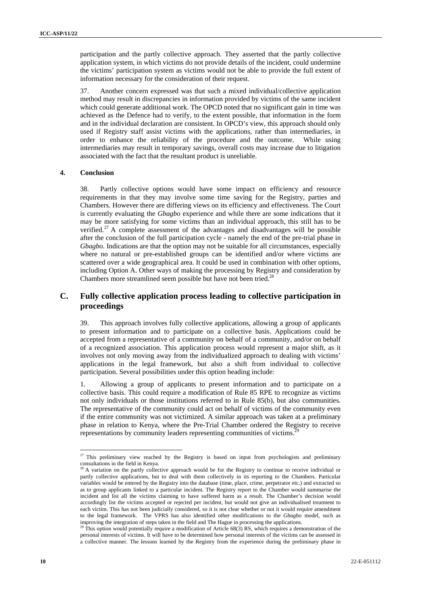participation and the partly collective approach. They asserted that the partly collective application system, in which victims do not provide details of the incident, could undermine the victims' participation system as victims would not be able to provide the full extent of information necessary for the consideration of their request.

37. Another concern expressed was that such a mixed individual/collective application method may result in discrepancies in information provided by victims of the same incident which could generate additional work. The OPCD noted that no significant gain in time was achieved as the Defence had to verify, to the extent possible, that information in the form and in the individual declaration are consistent. In OPCD's view, this approach should only used if Registry staff assist victims with the applications, rather than intermediaries, in order to enhance the reliability of the procedure and the outcome. While using intermediaries may result in temporary savings, overall costs may increase due to litigation associated with the fact that the resultant product is unreliable.

#### **4. Conclusion**

38. Partly collective options would have some impact on efficiency and resource requirements in that they may involve some time saving for the Registry, parties and Chambers. However there are differing views on its efficiency and effectiveness. The Court is currently evaluating the *Gbagbo* experience and while there are some indications that it may be more satisfying for some victims than an individual approach, this still has to be verified.<sup>27</sup> A complete assessment of the advantages and disadvantages will be possible after the conclusion of the full participation cycle - namely the end of the pre-trial phase in *Gbagbo*. Indications are that the option may not be suitable for all circumstances, especially where no natural or pre-established groups can be identified and/or where victims are scattered over a wide geographical area. It could be used in combination with other options, including Option A. Other ways of making the processing by Registry and consideration by Chambers more streamlined seem possible but have not been tried.<sup>28</sup>

## **C. Fully collective application process leading to collective participation in proceedings**

39. This approach involves fully collective applications, allowing a group of applicants to present information and to participate on a collective basis. Applications could be accepted from a representative of a community on behalf of a community, and/or on behalf of a recognized association. This application process would represent a major shift, as it involves not only moving away from the individualized approach to dealing with victims' applications in the legal framework, but also a shift from individual to collective participation. Several possibilities under this option heading include:

1. Allowing a group of applicants to present information and to participate on a collective basis. This could require a modification of Rule 85 RPE to recognize as victims not only individuals or those institutions referred to in Rule 85(b), but also communities. The representative of the community could act on behalf of victims of the community even if the entire community was not victimized. A similar approach was taken at a preliminary phase in relation to Kenya, where the Pre-Trial Chamber ordered the Registry to receive representations by community leaders representing communities of victims.<sup>2</sup>

<sup>&</sup>lt;sup>27</sup> This preliminary view reached by the Registry is based on input from psychologists and preliminary consultations in the field in Kenya.

 $^{28}$  A variation on the partly collective approach would be for the Registry to continue to receive individual or partly collective applications, but to deal with them collectively in its reporting to the Chambers. Particular variables would be entered by the Registry into the database (time, place, crime, perpetrator etc.) and extracted so as to group applicants linked to a particular incident. The Registry report to the Chamber would summarise the incident and list all the victims claiming to have suffered harm as a result. The Chamber's decision would accordingly list the victims accepted or rejected per incident, but would not give an individualised treatment to each victim. This has not been judicially considered, so it is not clear whether or not it would require amendment to the legal framework. The VPRS has also identified other modifications to the *Gbagbo* model, such as

improving the integration of steps taken in the field and The Hague in processing the applications. <sup>29</sup> This option would potentially require a modification of Article 68(3) RS, which requires a demonstration of the personal interests of victims. It will have to be determined how personal interests of the victims can be assessed in a collective manner. The lessons learned by the Registry from the experience during the preliminary phase in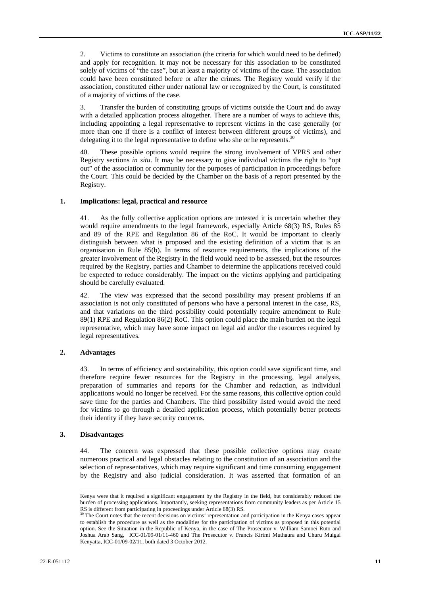2. Victims to constitute an association (the criteria for which would need to be defined) and apply for recognition. It may not be necessary for this association to be constituted solely of victims of "the case", but at least a majority of victims of the case. The association could have been constituted before or after the crimes. The Registry would verify if the association, constituted either under national law or recognized by the Court, is constituted of a majority of victims of the case.

3. Transfer the burden of constituting groups of victims outside the Court and do away with a detailed application process altogether. There are a number of ways to achieve this, including appointing a legal representative to represent victims in the case generally (or more than one if there is a conflict of interest between different groups of victims), and delegating it to the legal representative to define who she or he represents.<sup>3</sup>

40. These possible options would require the strong involvement of VPRS and other Registry sections *in situ*. It may be necessary to give individual victims the right to "opt out" of the association or community for the purposes of participation in proceedings before the Court. This could be decided by the Chamber on the basis of a report presented by the Registry.

#### **1. Implications: legal, practical and resource**

41. As the fully collective application options are untested it is uncertain whether they would require amendments to the legal framework, especially Article 68(3) RS, Rules 85 and 89 of the RPE and Regulation 86 of the RoC. It would be important to clearly distinguish between what is proposed and the existing definition of a victim that is an organisation in Rule 85(b). In terms of resource requirements, the implications of the greater involvement of the Registry in the field would need to be assessed, but the resources required by the Registry, parties and Chamber to determine the applications received could be expected to reduce considerably. The impact on the victims applying and participating should be carefully evaluated.

42. The view was expressed that the second possibility may present problems if an association is not only constituted of persons who have a personal interest in the case, RS, and that variations on the third possibility could potentially require amendment to Rule 89(1) RPE and Regulation 86(2) RoC. This option could place the main burden on the legal representative, which may have some impact on legal aid and/or the resources required by legal representatives.

#### **2. Advantages**

43. In terms of efficiency and sustainability, this option could save significant time, and therefore require fewer resources for the Registry in the processing, legal analysis, preparation of summaries and reports for the Chamber and redaction, as individual applications would no longer be received. For the same reasons, this collective option could save time for the parties and Chambers. The third possibility listed would avoid the need for victims to go through a detailed application process, which potentially better protects their identity if they have security concerns.

#### **3. Disadvantages**

 $\overline{a}$ 

44. The concern was expressed that these possible collective options may create numerous practical and legal obstacles relating to the constitution of an association and the selection of representatives, which may require significant and time consuming engagement by the Registry and also judicial consideration. It was asserted that formation of an

Kenya were that it required a significant engagement by the Registry in the field, but considerably reduced the burden of processing applications. Importantly, seeking representations from community leaders as per Article 15 RS is different from participating in proceedings under Article 68(3) RS.

The Court notes that the recent decisions on victims' representation and participation in the Kenya cases appear to establish the procedure as well as the modalities for the participation of victims as proposed in this potential option. See the Situation in the Republic of Kenya, in the case of The Prosecutor v. William Samoei Ruto and Joshua Arab Sang, ICC-01/09-01/11-460 and The Prosecutor v. Francis Kirimi Muthaura and Uhuru Muigai Kenyatta, ICC-01/09-02/11, both dated 3 October 2012.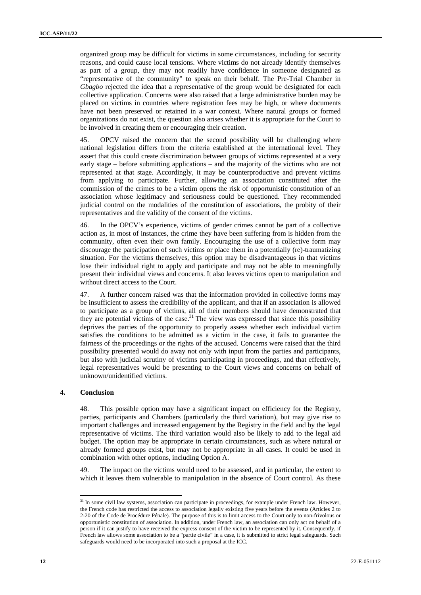organized group may be difficult for victims in some circumstances, including for security reasons, and could cause local tensions. Where victims do not already identify themselves as part of a group, they may not readily have confidence in someone designated as "representative of the community" to speak on their behalf. The Pre-Trial Chamber in *Gbagbo* rejected the idea that a representative of the group would be designated for each collective application. Concerns were also raised that a large administrative burden may be placed on victims in countries where registration fees may be high, or where documents have not been preserved or retained in a war context. Where natural groups or formed organizations do not exist, the question also arises whether it is appropriate for the Court to be involved in creating them or encouraging their creation.

45. OPCV raised the concern that the second possibility will be challenging where national legislation differs from the criteria established at the international level. They assert that this could create discrimination between groups of victims represented at a very early stage – before submitting applications – and the majority of the victims who are not represented at that stage. Accordingly, it may be counterproductive and prevent victims from applying to participate. Further, allowing an association constituted after the commission of the crimes to be a victim opens the risk of opportunistic constitution of an association whose legitimacy and seriousness could be questioned. They recommended judicial control on the modalities of the constitution of associations, the probity of their representatives and the validity of the consent of the victims.

46. In the OPCV's experience, victims of gender crimes cannot be part of a collective action as, in most of instances, the crime they have been suffering from is hidden from the community, often even their own family. Encouraging the use of a collective form may discourage the participation of such victims or place them in a potentially (re)-traumatizing situation. For the victims themselves, this option may be disadvantageous in that victims lose their individual right to apply and participate and may not be able to meaningfully present their individual views and concerns. It also leaves victims open to manipulation and without direct access to the Court.

47. A further concern raised was that the information provided in collective forms may be insufficient to assess the credibility of the applicant, and that if an association is allowed to participate as a group of victims, all of their members should have demonstrated that they are potential victims of the case.<sup>31</sup> The view was expressed that since this possibility deprives the parties of the opportunity to properly assess whether each individual victim satisfies the conditions to be admitted as a victim in the case, it fails to guarantee the fairness of the proceedings or the rights of the accused. Concerns were raised that the third possibility presented would do away not only with input from the parties and participants, but also with judicial scrutiny of victims participating in proceedings, and that effectively, legal representatives would be presenting to the Court views and concerns on behalf of unknown/unidentified victims.

#### **4. Conclusion**

 $\overline{a}$ 

48. This possible option may have a significant impact on efficiency for the Registry, parties, participants and Chambers (particularly the third variation), but may give rise to important challenges and increased engagement by the Registry in the field and by the legal representative of victims. The third variation would also be likely to add to the legal aid budget. The option may be appropriate in certain circumstances, such as where natural or already formed groups exist, but may not be appropriate in all cases. It could be used in combination with other options, including Option A.

The impact on the victims would need to be assessed, and in particular, the extent to which it leaves them vulnerable to manipulation in the absence of Court control. As these

<sup>&</sup>lt;sup>31</sup> In some civil law systems, association can participate in proceedings, for example under French law. However, the French code has restricted the access to association legally existing five years before the events (Articles 2 to 2-20 of the Code de Procédure Pénale). The purpose of this is to limit access to the Court only to non-frivolous or opportunistic constitution of association. In addition, under French law, an association can only act on behalf of a person if it can justify to have received the express consent of the victim to be represented by it. Consequently, if French law allows some association to be a "partie civile" in a case, it is submitted to strict legal safeguards. Such safeguards would need to be incorporated into such a proposal at the ICC.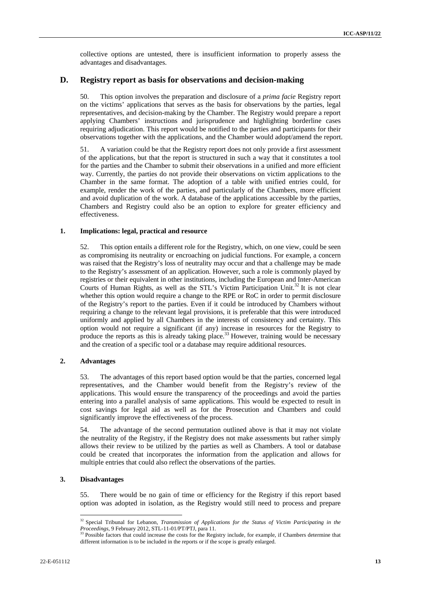collective options are untested, there is insufficient information to properly assess the advantages and disadvantages.

### **D. Registry report as basis for observations and decision-making**

50. This option involves the preparation and disclosure of a *prima facie* Registry report on the victims' applications that serves as the basis for observations by the parties, legal representatives, and decision-making by the Chamber. The Registry would prepare a report applying Chambers' instructions and jurisprudence and highlighting borderline cases requiring adjudication. This report would be notified to the parties and participants for their observations together with the applications, and the Chamber would adopt/amend the report.

51. A variation could be that the Registry report does not only provide a first assessment of the applications, but that the report is structured in such a way that it constitutes a tool for the parties and the Chamber to submit their observations in a unified and more efficient way. Currently, the parties do not provide their observations on victim applications to the Chamber in the same format. The adoption of a table with unified entries could, for example, render the work of the parties, and particularly of the Chambers, more efficient and avoid duplication of the work. A database of the applications accessible by the parties, Chambers and Registry could also be an option to explore for greater efficiency and effectiveness.

#### **1. Implications: legal, practical and resource**

52. This option entails a different role for the Registry, which, on one view, could be seen as compromising its neutrality or encroaching on judicial functions. For example, a concern was raised that the Registry's loss of neutrality may occur and that a challenge may be made to the Registry's assessment of an application. However, such a role is commonly played by registries or their equivalent in other institutions, including the European and Inter-American Courts of Human Rights, as well as the STL's Victim Participation Unit.<sup>32</sup> It is not clear whether this option would require a change to the RPE or RoC in order to permit disclosure of the Registry's report to the parties. Even if it could be introduced by Chambers without requiring a change to the relevant legal provisions, it is preferable that this were introduced uniformly and applied by all Chambers in the interests of consistency and certainty. This option would not require a significant (if any) increase in resources for the Registry to produce the reports as this is already taking place.<sup>33</sup> However, training would be necessary and the creation of a specific tool or a database may require additional resources.

#### **2. Advantages**

53. The advantages of this report based option would be that the parties, concerned legal representatives, and the Chamber would benefit from the Registry's review of the applications. This would ensure the transparency of the proceedings and avoid the parties entering into a parallel analysis of same applications. This would be expected to result in cost savings for legal aid as well as for the Prosecution and Chambers and could significantly improve the effectiveness of the process.

54. The advantage of the second permutation outlined above is that it may not violate the neutrality of the Registry, if the Registry does not make assessments but rather simply allows their review to be utilized by the parties as well as Chambers. A tool or database could be created that incorporates the information from the application and allows for multiple entries that could also reflect the observations of the parties.

#### **3. Disadvantages**

 $\overline{a}$ 

55. There would be no gain of time or efficiency for the Registry if this report based option was adopted in isolation, as the Registry would still need to process and prepare

<sup>32</sup> Special Tribunal for Lebanon, *Transmission of Applications for the Status of Victim Participating in the Proceedings*, 9 February 2012, STL-11-01/PT/PTJ, para 11. **33** Possible factors that could increase the costs for the Registry include, for example, if Chambers determine that  $\frac{33}{2}$  Possible factors that could increa

different information is to be included in the reports or if the scope is greatly enlarged.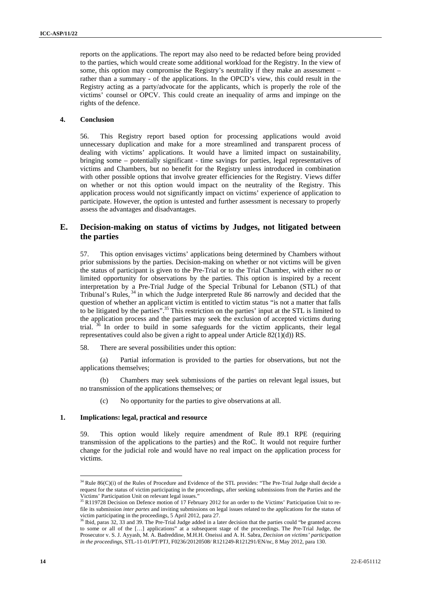reports on the applications. The report may also need to be redacted before being provided to the parties, which would create some additional workload for the Registry. In the view of some, this option may compromise the Registry's neutrality if they make an assessment – rather than a summary - of the applications. In the OPCD's view, this could result in the Registry acting as a party/advocate for the applicants, which is properly the role of the victims' counsel or OPCV. This could create an inequality of arms and impinge on the rights of the defence.

#### **4. Conclusion**

56. This Registry report based option for processing applications would avoid unnecessary duplication and make for a more streamlined and transparent process of dealing with victims' applications. It would have a limited impact on sustainability, bringing some – potentially significant - time savings for parties, legal representatives of victims and Chambers, but no benefit for the Registry unless introduced in combination with other possible options that involve greater efficiencies for the Registry. Views differ on whether or not this option would impact on the neutrality of the Registry. This application process would not significantly impact on victims' experience of application to participate. However, the option is untested and further assessment is necessary to properly assess the advantages and disadvantages.

## **E. Decision-making on status of victims by Judges, not litigated between the parties**

57. This option envisages victims' applications being determined by Chambers without prior submissions by the parties. Decision-making on whether or not victims will be given the status of participant is given to the Pre-Trial or to the Trial Chamber, with either no or limited opportunity for observations by the parties. This option is inspired by a recent interpretation by a Pre-Trial Judge of the Special Tribunal for Lebanon (STL) of that Tribunal's Rules, 34 in which the Judge interpreted Rule 86 narrowly and decided that the question of whether an applicant victim is entitled to victim status "is not a matter that falls to be litigated by the parties".<sup>35</sup> This restriction on the parties' input at the STL is limited to the application process and the parties may seek the exclusion of accepted victims during trial.  $36$  In order to build in some safeguards for the victim applicants, their legal representatives could also be given a right to appeal under Article 82(1)(d)) RS.

58. There are several possibilities under this option:

(a) Partial information is provided to the parties for observations, but not the applications themselves;

(b) Chambers may seek submissions of the parties on relevant legal issues, but no transmission of the applications themselves; or

(c) No opportunity for the parties to give observations at all.

#### **1. Implications: legal, practical and resource**

59. This option would likely require amendment of Rule 89.1 RPE (requiring transmission of the applications to the parties) and the RoC. It would not require further change for the judicial role and would have no real impact on the application process for victims.

 $34$  Rule 86(C)(i) of the Rules of Procedure and Evidence of the STL provides: "The Pre-Trial Judge shall decide a request for the status of victim participating in the proceedings, after seeking submissions from the Parties and the Victims' Participation Unit on relevant legal issues."

<sup>&</sup>lt;sup>35</sup> R119728 Decision on Defence motion of 17 February 2012 for an order to the Victims' Participation Unit to refile its submission *inter partes* and inviting submissions on legal issues related to the applications for the status of victim participating in the proceedings, 5 April 2012, para 27.<br><sup>36</sup> Ibid, paras 32, 33 and 39. The Pre-Trial Judge added in a later decision that the parties could "be granted access

to some or all of the […] applications" at a subsequent stage of the proceedings. The Pre-Trial Judge, the Prosecutor v. S. J. Ayyash, M. A. Badreddine, M.H.H. Oneissi and A. H. Sabra, *Decision on victims' participation in the proceedings*, STL-11-01/PT/PTJ, F0236/20120508/ R121249-R121291/EN/nc, 8 May 2012, para 130.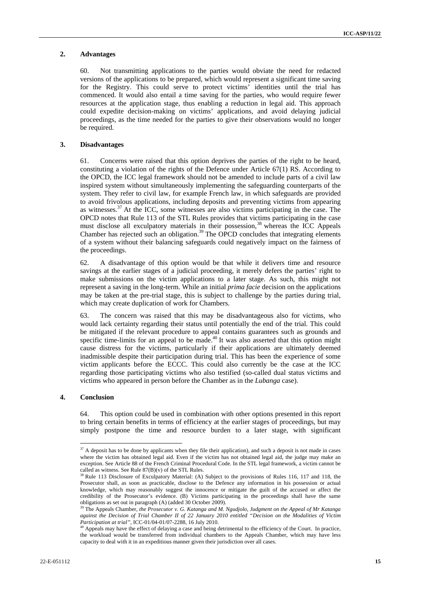#### **2. Advantages**

60. Not transmitting applications to the parties would obviate the need for redacted versions of the applications to be prepared, which would represent a significant time saving for the Registry. This could serve to protect victims' identities until the trial has commenced. It would also entail a time saving for the parties, who would require fewer resources at the application stage, thus enabling a reduction in legal aid. This approach could expedite decision-making on victims' applications, and avoid delaying judicial proceedings, as the time needed for the parties to give their observations would no longer be required.

#### **3. Disadvantages**

61. Concerns were raised that this option deprives the parties of the right to be heard, constituting a violation of the rights of the Defence under Article 67(1) RS. According to the OPCD, the ICC legal framework should not be amended to include parts of a civil law inspired system without simultaneously implementing the safeguarding counterparts of the system. They refer to civil law, for example French law, in which safeguards are provided to avoid frivolous applications, including deposits and preventing victims from appearing as witnesses.37 At the ICC, some witnesses are also victims participating in the case. The OPCD notes that Rule 113 of the STL Rules provides that victims participating in the case must disclose all exculpatory materials in their possession,<sup>38</sup> whereas the ICC Appeals Chamber has rejected such an obligation.<sup>39</sup> The OPCD concludes that integrating elements of a system without their balancing safeguards could negatively impact on the fairness of the proceedings.

62. A disadvantage of this option would be that while it delivers time and resource savings at the earlier stages of a judicial proceeding, it merely defers the parties' right to make submissions on the victim applications to a later stage. As such, this might not represent a saving in the long-term. While an initial *prima facie* decision on the applications may be taken at the pre-trial stage, this is subject to challenge by the parties during trial, which may create duplication of work for Chambers.

63. The concern was raised that this may be disadvantageous also for victims, who would lack certainty regarding their status until potentially the end of the trial. This could be mitigated if the relevant procedure to appeal contains guarantees such as grounds and specific time-limits for an appeal to be made.<sup>40</sup> It was also asserted that this option might cause distress for the victims, particularly if their applications are ultimately deemed inadmissible despite their participation during trial. This has been the experience of some victim applicants before the ECCC. This could also currently be the case at the ICC regarding those participating victims who also testified (so-called dual status victims and victims who appeared in person before the Chamber as in the *Lubanga* case).

#### **4. Conclusion**

 $\overline{a}$ 

64. This option could be used in combination with other options presented in this report to bring certain benefits in terms of efficiency at the earlier stages of proceedings, but may simply postpone the time and resource burden to a later stage, with significant

 $37$  A deposit has to be done by applicants when they file their application), and such a deposit is not made in cases where the victim has obtained legal aid. Even if the victim has not obtained legal aid, the judge may make an exception. See Article 88 of the French Criminal Procedural Code. In the STL legal framework, a victim cannot be called as witness. See Rule 87(B)(v) of the STL Rules.<br><sup>38</sup> Rule 113 Disclosure of Exculpatory Material: (A) Subject to the provisions of Rules 116, 117 and 118, the

Prosecutor shall, as soon as practicable, disclose to the Defence any information in his possession or actual knowledge, which may reasonably suggest the innocence or mitigate the guilt of the accused or affect the credibility of the Prosecutor's evidence. (B) Victims participating in the proceedings shall have the same obligations as set out in paragraph (A) (added 30 October 2009).

<sup>&</sup>lt;sup>39</sup> The Appeals Chamber, *the Prosecutor v. G. Katanga and M. Ngudjolo, Judgment on the Appeal of Mr Katanga against the Decision of Trial Chamber II of 22 January 2010 entitled "Decision on the Modalities of Victim* 

<sup>&</sup>lt;sup>40</sup> Appeals may have the effect of delaying a case and being detrimental to the efficiency of the Court. In practice, the workload would be transferred from individual chambers to the Appeals Chamber, which may have less capacity to deal with it in an expeditious manner given their jurisdiction over all cases.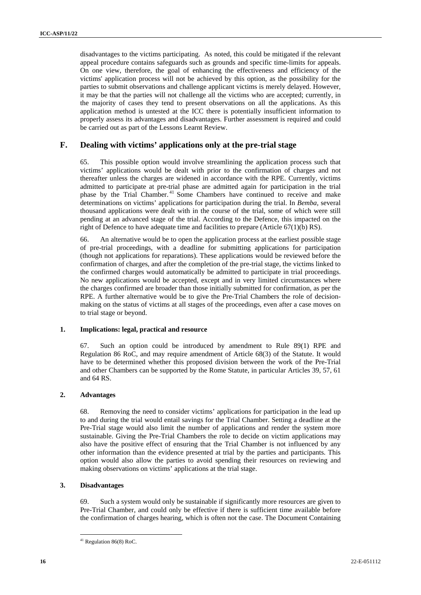disadvantages to the victims participating. As noted, this could be mitigated if the relevant appeal procedure contains safeguards such as grounds and specific time-limits for appeals. On one view, therefore, the goal of enhancing the effectiveness and efficiency of the victims' application process will not be achieved by this option, as the possibility for the parties to submit observations and challenge applicant victims is merely delayed. However, it may be that the parties will not challenge all the victims who are accepted; currently, in the majority of cases they tend to present observations on all the applications. As this application method is untested at the ICC there is potentially insufficient information to properly assess its advantages and disadvantages. Further assessment is required and could be carried out as part of the Lessons Learnt Review.

## **F. Dealing with victims' applications only at the pre-trial stage**

65. This possible option would involve streamlining the application process such that victims' applications would be dealt with prior to the confirmation of charges and not thereafter unless the charges are widened in accordance with the RPE. Currently, victims admitted to participate at pre-trial phase are admitted again for participation in the trial phase by the Trial Chamber.<sup>41</sup> Some Chambers have continued to receive and make determinations on victims' applications for participation during the trial. In *Bemba,* several thousand applications were dealt with in the course of the trial, some of which were still pending at an advanced stage of the trial. According to the Defence, this impacted on the right of Defence to have adequate time and facilities to prepare (Article  $67(1)(b)$  RS).

66. An alternative would be to open the application process at the earliest possible stage of pre-trial proceedings, with a deadline for submitting applications for participation (though not applications for reparations). These applications would be reviewed before the confirmation of charges, and after the completion of the pre-trial stage, the victims linked to the confirmed charges would automatically be admitted to participate in trial proceedings. No new applications would be accepted, except and in very limited circumstances where the charges confirmed are broader than those initially submitted for confirmation, as per the RPE. A further alternative would be to give the Pre-Trial Chambers the role of decisionmaking on the status of victims at all stages of the proceedings, even after a case moves on to trial stage or beyond.

#### **1. Implications: legal, practical and resource**

67. Such an option could be introduced by amendment to Rule 89(1) RPE and Regulation 86 RoC, and may require amendment of Article 68(3) of the Statute. It would have to be determined whether this proposed division between the work of the Pre-Trial and other Chambers can be supported by the Rome Statute, in particular Articles 39, 57, 61 and 64 RS.

#### **2. Advantages**

68. Removing the need to consider victims' applications for participation in the lead up to and during the trial would entail savings for the Trial Chamber. Setting a deadline at the Pre-Trial stage would also limit the number of applications and render the system more sustainable. Giving the Pre-Trial Chambers the role to decide on victim applications may also have the positive effect of ensuring that the Trial Chamber is not influenced by any other information than the evidence presented at trial by the parties and participants. This option would also allow the parties to avoid spending their resources on reviewing and making observations on victims' applications at the trial stage.

#### **3. Disadvantages**

 $\overline{a}$ 

69. Such a system would only be sustainable if significantly more resources are given to Pre-Trial Chamber, and could only be effective if there is sufficient time available before the confirmation of charges hearing, which is often not the case. The Document Containing

 $41$  Regulation 86(8) RoC.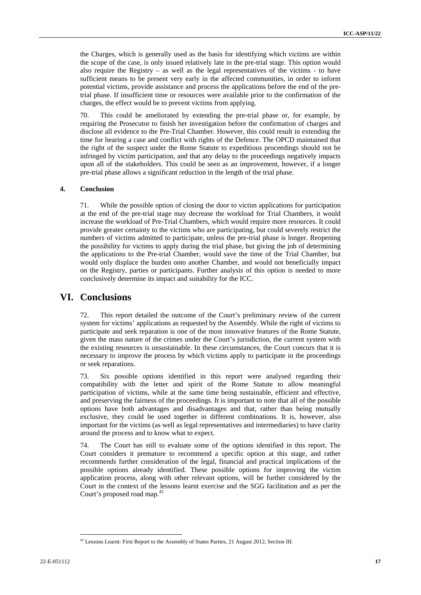the Charges, which is generally used as the basis for identifying which victims are within the scope of the case, is only issued relatively late in the pre-trial stage. This option would also require the Registry – as well as the legal representatives of the victims - to have sufficient means to be present very early in the affected communities, in order to inform potential victims, provide assistance and process the applications before the end of the pretrial phase. If insufficient time or resources were available prior to the confirmation of the charges, the effect would be to prevent victims from applying.

70. This could be ameliorated by extending the pre-trial phase or, for example, by requiring the Prosecutor to finish her investigation before the confirmation of charges and disclose all evidence to the Pre-Trial Chamber. However, this could result in extending the time for hearing a case and conflict with rights of the Defence. The OPCD maintained that the right of the suspect under the Rome Statute to expeditious proceedings should not be infringed by victim participation, and that any delay to the proceedings negatively impacts upon all of the stakeholders. This could be seen as an improvement, however, if a longer pre-trial phase allows a significant reduction in the length of the trial phase.

#### **4. Conclusion**

71. While the possible option of closing the door to victim applications for participation at the end of the pre-trial stage may decrease the workload for Trial Chambers, it would increase the workload of Pre-Trial Chambers, which would require more resources. It could provide greater certainty to the victims who are participating, but could severely restrict the numbers of victims admitted to participate, unless the pre-trial phase is longer. Reopening the possibility for victims to apply during the trial phase, but giving the job of determining the applications to the Pre-trial Chamber, would save the time of the Trial Chamber, but would only displace the burden onto another Chamber, and would not beneficially impact on the Registry, parties or participants. Further analysis of this option is needed to more conclusively determine its impact and suitability for the ICC.

## **VI. Conclusions**

72. This report detailed the outcome of the Court's preliminary review of the current system for victims' applications as requested by the Assembly. While the right of victims to participate and seek reparation is one of the most innovative features of the Rome Statute, given the mass nature of the crimes under the Court's jurisdiction, the current system with the existing resources is unsustainable. In these circumstances, the Court concurs that it is necessary to improve the process by which victims apply to participate in the proceedings or seek reparations.

73. Six possible options identified in this report were analysed regarding their compatibility with the letter and spirit of the Rome Statute to allow meaningful participation of victims, while at the same time being sustainable, efficient and effective, and preserving the fairness of the proceedings. It is important to note that all of the possible options have both advantages and disadvantages and that, rather than being mutually exclusive, they could be used together in different combinations. It is, however, also important for the victims (as well as legal representatives and intermediaries) to have clarity around the process and to know what to expect.

74. The Court has still to evaluate some of the options identified in this report. The Court considers it premature to recommend a specific option at this stage, and rather recommends further consideration of the legal, financial and practical implications of the possible options already identified. These possible options for improving the victim application process, along with other relevant options, will be further considered by the Court in the context of the lessons learnt exercise and the SGG facilitation and as per the Court's proposed road map.<sup>42</sup>

<sup>42</sup> Lessons Learnt: First Report to the Assembly of States Parties, 21 August 2012, Section III*.*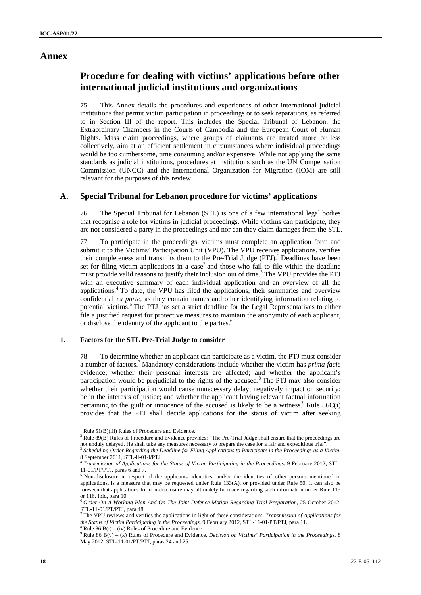## **Annex**

## **Procedure for dealing with victims' applications before other international judicial institutions and organizations**

75. This Annex details the procedures and experiences of other international judicial institutions that permit victim participation in proceedings or to seek reparations, as referred to in Section III of the report. This includes the Special Tribunal of Lebanon, the Extraordinary Chambers in the Courts of Cambodia and the European Court of Human Rights. Mass claim proceedings, where groups of claimants are treated more or less collectively, aim at an efficient settlement in circumstances where individual proceedings would be too cumbersome, time consuming and/or expensive. While not applying the same standards as judicial institutions, procedures at institutions such as the UN Compensation Commission (UNCC) and the International Organization for Migration (IOM) are still relevant for the purposes of this review.

### **A. Special Tribunal for Lebanon procedure for victims' applications**

76. The Special Tribunal for Lebanon (STL) is one of a few international legal bodies that recognise a role for victims in judicial proceedings. While victims can participate, they are not considered a party in the proceedings and nor can they claim damages from the STL.

77. To participate in the proceedings, victims must complete an application form and submit it to the Victims' Participation Unit (VPU). The VPU receives applications, verifies their completeness and transmits them to the Pre-Trial Judge  $(PTJ)$ .<sup>1</sup> Deadlines have been set for filing victim applications in a case<sup>2</sup> and those who fail to file within the deadline must provide valid reasons to justify their inclusion out of time.<sup>3</sup> The VPU provides the PTJ with an executive summary of each individual application and an overview of all the applications.<sup>4</sup> To date, the VPU has filed the applications, their summaries and overview confidential *ex parte,* as they contain names and other identifying information relating to potential victims.<sup>5</sup> The PTJ has set a strict deadline for the Legal Representatives to either file a justified request for protective measures to maintain the anonymity of each applicant, or disclose the identity of the applicant to the parties.<sup>6</sup>

#### **1. Factors for the STL Pre-Trial Judge to consider**

78. To determine whether an applicant can participate as a victim, the PTJ must consider a number of factors.7 Mandatory considerations include whether the victim has *prima facie* evidence; whether their personal interests are affected; and whether the applicant's participation would be prejudicial to the rights of the accused.<sup>8</sup> The PTJ may also consider whether their participation would cause unnecessary delay; negatively impact on security; be in the interests of justice; and whether the applicant having relevant factual information pertaining to the guilt or innocence of the accused is likely to be a witness.<sup>9</sup> Rule  $86C(i)$ provides that the PTJ shall decide applications for the status of victim after seeking

 $1$  Rule 51(B)(iii) Rules of Procedure and Evidence.

 $^1$  Rule 51(B)(iii) Rules of Procedure and Evidence.<br><sup>2</sup> Rule 89(B) Rules of Procedure and Evidence provides: "The Pre-Trial Judge shall ensure that the proceedings are not unduly delayed. He shall take any measures necessary to prepare the case for a fair and expeditious trial".<br><sup>3</sup> Scheduling Order Regarding the Deadline for Filing Applications to Participate in the Proceedings as a Vic

<sup>8</sup> September 2011, STL-ll-01/I/PTJ.

<sup>4</sup> *Transmission of Applications for the Status of Victim Participating in the Proceedings*, 9 February 2012, STL-11-01/PT/PTJ, paras 6 and 7.

<sup>&</sup>lt;sup>5</sup> Non-disclosure in respect of the applicants' identities, and/or the identities of other persons mentioned in applications, is a measure that may be requested under Rule 133(A), or provided under Rule 50. It can also be foreseen that applications for non-disclosure may ultimately be made regarding such information under Rule 115 or 116. Ibid, para 10.<br><sup>6</sup> Order On A Working Plan And On The Joint Defence Motion Regarding Trial Preparation, 25 October 2012,

STL-11-01/PT/PTJ, para 48. 7 The VPU reviews and verifies the applications in light of these considerations. *Transmission of Applications for* 

the Status of Victim Participating in the Proceedings, 9 February 2012, STL-11-01/PT/PTJ, para 11.  $R$ ule 86 B(i) – (iv) Rules of Procedure and Evidence.

<sup>9</sup> Rule 86 B(v) – (x) Rules of Procedure and Evidence. *Decision on Victims' Participation in the Proceedings*, 8 May 2012, STL-11-01/PT/PTJ, paras 24 and 25.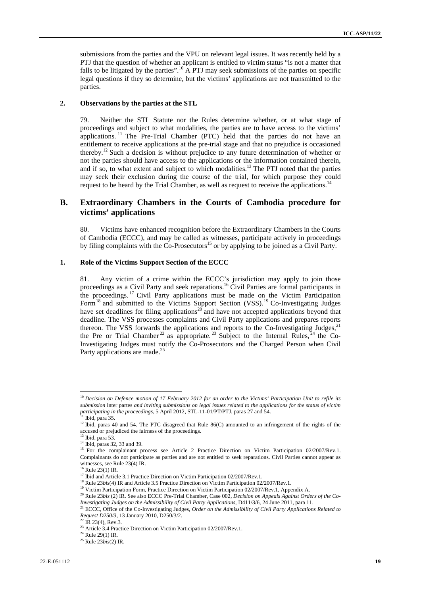submissions from the parties and the VPU on relevant legal issues. It was recently held by a PTJ that the question of whether an applicant is entitled to victim status "is not a matter that falls to be litigated by the parties".<sup>10</sup> A PTJ may seek submissions of the parties on specific legal questions if they so determine, but the victims' applications are not transmitted to the parties.

#### **2. Observations by the parties at the STL**

79. Neither the STL Statute nor the Rules determine whether, or at what stage of proceedings and subject to what modalities, the parties are to have access to the victims' applications.<sup>11</sup> The Pre-Trial Chamber (PTC) held that the parties do not have an entitlement to receive applications at the pre-trial stage and that no prejudice is occasioned thereby.12 Such a decision is without prejudice to any future determination of whether or not the parties should have access to the applications or the information contained therein, and if so, to what extent and subject to which modalities.<sup>13</sup> The PTJ noted that the parties may seek their exclusion during the course of the trial, for which purpose they could request to be heard by the Trial Chamber, as well as request to receive the applications.<sup>14</sup>

## **B. Extraordinary Chambers in the Courts of Cambodia procedure for victims' applications**

80. Victims have enhanced recognition before the Extraordinary Chambers in the Courts of Cambodia (ECCC), and may be called as witnesses, participate actively in proceedings by filing complaints with the Co-Prosecutors<sup>15</sup> or by applying to be joined as a Civil Party.

#### **1. Role of the Victims Support Section of the ECCC**

81. Any victim of a crime within the ECCC's jurisdiction may apply to join those proceedings as a Civil Party and seek reparations.<sup>16</sup> Civil Parties are formal participants in the proceedings.<sup>17</sup> Civil Party applications must be made on the Victim Participation Form<sup>18</sup> and submitted to the Victims Support Section (VSS).<sup>19</sup> Co-Investigating Judges have set deadlines for filing applications<sup>20</sup> and have not accepted applications beyond that deadline. The VSS processes complaints and Civil Party applications and prepares reports thereon. The VSS forwards the applications and reports to the Co-Investigating Judges, $21$ the Pre or Trial Chamber<sup>22</sup> as appropriate.<sup>23</sup> Subject to the Internal Rules,  $24$  the Co-Investigating Judges must notify the Co-Prosecutors and the Charged Person when Civil Party applications are made.<sup>25</sup>

<sup>10</sup> *Decision on Defence motion of 17 February 2012 for an order to the Victims' Participation Unit to refile its submission* inter partes *and inviting submissions on legal issues related to the applications for the status of victim participating in the proceedings*, 5 April 2012, STL-11-01/PT/PTJ, paras 27 and 54. <sup>11</sup> Ibid, para 35.

<sup>&</sup>lt;sup>12</sup> Ibid, paras 40 and 54. The PTC disagreed that Rule 86(C) amounted to an infringement of the rights of the accused or prejudiced the fairness of the proceedings.

<sup>13</sup> Ibid, para 53.

 $14$  Ibid, paras 32, 33 and 39.

<sup>&</sup>lt;sup>15</sup> For the complainant process see Article 2 Practice Direction on Victim Participation 02/2007/Rev.1. Complainants do not participate as parties and are not entitled to seek reparations. Civil Parties cannot appear as witnesses, see Rule 23(4) IR.

 $16$  Rule 23(1) IR.

<sup>&</sup>lt;sup>17</sup> Ibid and Article 3.1 Practice Direction on Victim Participation 02/2007/Rev.1.<br><sup>18</sup> Rule 23*bis*(4) IR and Article 3.5 Practice Direction on Victim Participation 02/2007/Rev.1.<br><sup>19</sup> Victim Participation Form, Practic

<sup>&</sup>lt;sup>21</sup> ECCC, Office of the Co-Investigating Judges, Order on the Admissibility of Civil Party Applications Related to *Request D250/3*, 13 January 2010, D250/3/2.<br><sup>22</sup> IR 23(4), Rev.3.

<sup>&</sup>lt;sup>23</sup> Article 3.4 Practice Direction on Victim Participation 02/2007/Rev.1.<br><sup>24</sup> Rule 29(1) IR.

<sup>25</sup> Rule 23*bis*(2) IR.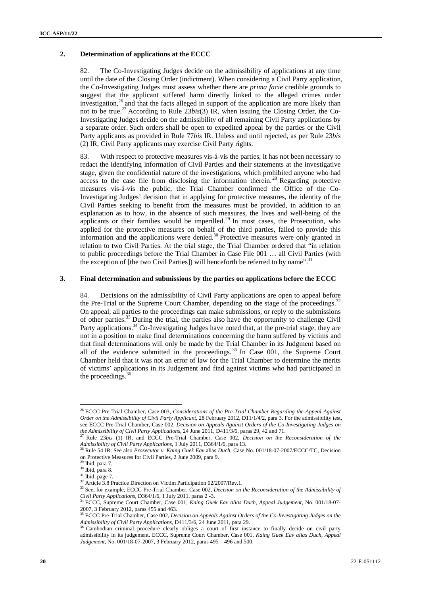#### **2. Determination of applications at the ECCC**

82. The Co-Investigating Judges decide on the admissibility of applications at any time until the date of the Closing Order (indictment). When considering a Civil Party application, the Co-Investigating Judges must assess whether there are *prima facie* credible grounds to suggest that the applicant suffered harm directly linked to the alleged crimes under investigation, $26$  and that the facts alleged in support of the application are more likely than not to be true.<sup>27</sup> According to Rule  $23bis(3)$  IR, when issuing the Closing Order, the Co-Investigating Judges decide on the admissibility of all remaining Civil Party applications by a separate order. Such orders shall be open to expedited appeal by the parties or the Civil Party applicants as provided in Rule 77*bis* IR. Unless and until rejected, as per Rule 23*bis* (2) IR, Civil Party applicants may exercise Civil Party rights.

83. With respect to protective measures vis-á-vis the parties, it has not been necessary to redact the identifying information of Civil Parties and their statements at the investigative stage, given the confidential nature of the investigations, which prohibited anyone who had access to the case file from disclosing the information therein.<sup>28</sup> Regarding protective measures vis-á-vis the public, the Trial Chamber confirmed the Office of the Co-Investigating Judges' decision that in applying for protective measures, the identity of the Civil Parties seeking to benefit from the measures must be provided, in addition to an explanation as to how, in the absence of such measures, the lives and well-being of the applicants or their families would be imperilled.<sup>29</sup> In most cases, the Prosecution, who applied for the protective measures on behalf of the third parties, failed to provide this information and the applications were denied.<sup>30</sup> Protective measures were only granted in relation to two Civil Parties. At the trial stage, the Trial Chamber ordered that "in relation to public proceedings before the Trial Chamber in Case File 001 … all Civil Parties (with the exception of [the two Civil Parties]) will henceforth be referred to by name".<sup>31</sup>

#### **3. Final determination and submissions by the parties on applications before the ECCC**

84. Decisions on the admissibility of Civil Party applications are open to appeal before the Pre-Trial or the Supreme Court Chamber, depending on the stage of the proceedings.<sup>32</sup> On appeal, all parties to the proceedings can make submissions, or reply to the submissions of other parties.33 During the trial, the parties also have the opportunity to challenge Civil Party applications.<sup>34</sup> Co-Investigating Judges have noted that, at the pre-trial stage, they are not in a position to make final determinations concerning the harm suffered by victims and that final determinations will only be made by the Trial Chamber in its Judgment based on all of the evidence submitted in the proceedings.<sup>35</sup> In Case 001, the Supreme Court Chamber held that it was not an error of law for the Trial Chamber to determine the merits of victims' applications in its Judgement and find against victims who had participated in the proceedings.<sup>36</sup>

<sup>26</sup> ECCC Pre-Trial Chamber, Case 003, *Considerations of the Pre-Trial Chamber Regarding the Appeal Against Order on the Admissibility of Civil Party Applicant*, 28 February 2012, D11/1/4/2, para 3. For the admissibility test, see ECCC Pre-Trial Chamber, Case 002, *Decision on Appeals Against Orders of the Co-Investigating Judges on* the Admissibility of Civil Party Applications, 24 June 2011, D411/3/6, paras 29, 42 and 71.

*Rule 23bis (1)* IR, and ECCC Pre-Trial Chamber, Case 002, *Decision on the Reconsideration of the Admissibility of Civil Party Applications,* 1 July 2011, D364/1/6, para 13.<br><sup>28</sup> Rule 54 IR. See also *Prosecutor v. Kaing Guek Eav* alias *Duch*, Case No. 001/18-07-2007/ECCC/TC, Decision

on Protective Measures for Civil Parties, 2 June 2009, para 9.

 $29$  Ibid, para 7.

 $30$  Ibid, para 8.

<sup>&</sup>lt;sup>31</sup> Ibid, page 7.<br><sup>32</sup> Article 3.8 Practice Direction on Victim Participation 02/2007/Rev.1.

<sup>&</sup>lt;sup>33</sup> See, for example, ECCC Pre-Trial Chamber, Case 002, *Decision on the Reconsideration of the Admissibility of Civil Party Applications*, D364/1/6, 1 July 2011, paras 2 -3. 34 ECCC, Supreme Court Chamber, Case 001, *Kaing Guek Eav alias Duch, Appeal Judgement*, No. 001/18-07-

<sup>2007, 3</sup> February 2012, paras 455 and 463.

<sup>35</sup> ECCC Pre-Trial Chamber, Case 002, *Decision on Appeals Against Orders of the Co-Investigating Judges on the Admissibility of Civil Party Applications,* D411/3/6, 24 June 2011, para 29.<br><sup>36</sup> Cambodian criminal procedure clearly obliges a court of first instance to finally decide on civil party

admissibility in its judgement. ECCC, Supreme Court Chamber, Case 001, *Kaing Guek Eav alias Duch, Appeal Judgement*, No. 001/18-07-2007, 3 February 2012, paras 495 – 496 and 500.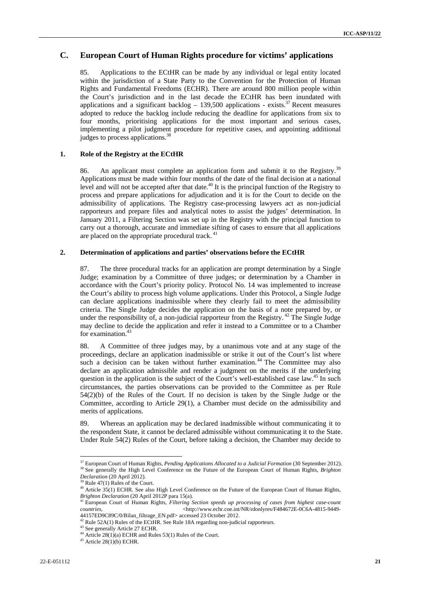### **C. European Court of Human Rights procedure for victims' applications**

85. Applications to the ECtHR can be made by any individual or legal entity located within the jurisdiction of a State Party to the Convention for the Protection of Human Rights and Fundamental Freedoms (ECHR). There are around 800 million people within the Court's jurisdiction and in the last decade the ECtHR has been inundated with applications and a significant backlog  $-139,500$  applications - exists.<sup>37</sup> Recent measures adopted to reduce the backlog include reducing the deadline for applications from six to four months, prioritising applications for the most important and serious cases, implementing a pilot judgment procedure for repetitive cases, and appointing additional judges to process applications.<sup>38</sup>

#### **1. Role of the Registry at the ECtHR**

86. An applicant must complete an application form and submit it to the Registry.<sup>39</sup> Applications must be made within four months of the date of the final decision at a national level and will not be accepted after that date.<sup>40</sup> It is the principal function of the Registry to process and prepare applications for adjudication and it is for the Court to decide on the admissibility of applications. The Registry case-processing lawyers act as non-judicial rapporteurs and prepare files and analytical notes to assist the judges' determination. In January 2011, a Filtering Section was set up in the Registry with the principal function to carry out a thorough, accurate and immediate sifting of cases to ensure that all applications are placed on the appropriate procedural track.<sup>41</sup>

#### **2. Determination of applications and parties' observations before the ECtHR**

87. The three procedural tracks for an application are prompt determination by a Single Judge; examination by a Committee of three judges; or determination by a Chamber in accordance with the Court's priority policy. Protocol No. 14 was implemented to increase the Court's ability to process high volume applications. Under this Protocol, a Single Judge can declare applications inadmissible where they clearly fail to meet the admissibility criteria. The Single Judge decides the application on the basis of a note prepared by, or under the responsibility of, a non-judicial rapporteur from the Registry.<sup>42</sup> The Single Judge may decline to decide the application and refer it instead to a Committee or to a Chamber for examination.<sup>43</sup>

88. A Committee of three judges may, by a unanimous vote and at any stage of the proceedings, declare an application inadmissible or strike it out of the Court's list where such a decision can be taken without further examination.<sup>44</sup> The Committee may also declare an application admissible and render a judgment on the merits if the underlying question in the application is the subject of the Court's well-established case law.<sup>45</sup> In such circumstances, the parties observations can be provided to the Committee as per Rule 54(2)(b) of the Rules of the Court. If no decision is taken by the Single Judge or the Committee, according to Article 29(1), a Chamber must decide on the admissibility and merits of applications.

89. Whereas an application may be declared inadmissible without communicating it to the respondent State, it cannot be declared admissible without communicating it to the State. Under Rule 54(2) Rules of the Court, before taking a decision, the Chamber may decide to

<sup>&</sup>lt;sup>37</sup> European Court of Human Rights, *Pending Applications Allocated to a Judicial Formation* (30 September 2012). <sup>38</sup> See generally the High Level Conference on the Future of the European Court of Human Rights, *Brighton Declaration* (20 April 2012).

<sup>&</sup>lt;sup>39</sup> Rule 47(1) Rules of the Court.

<sup>&</sup>lt;sup>40</sup> Article 35(1) ECHR. See also High Level Conference on the Future of the European Court of Human Rights,

*Brighton Declaration* (20 April 2012P para 15(a). *41* European Court of Human Rights, *Filtering Section speeds up processing of cases from highest case-count 4*<sup>2</sup> European Court of Human Rights, *Filtering Section sp*  $countries,$   $\n<a href="http://www.echr.coe.int/NR/rdonlyres/F484672E-OC6A-4815-9449-}{\rm chthp://www.echr.coe.int/NR/rdonlyres/F484672E-OC6A-4815-9449-}</math>$ 44157ED9C89C/0/Bilan\_filtrage\_EN.pdf> accessed 23 October 2012.<br><sup>42</sup> Rule 52A(1) Rules of the ECtHR. See Rule 18A regarding non-judicial rapporteurs.<br><sup>43</sup> See generally Article 27 ECHR.

<sup>&</sup>lt;sup>44</sup> Article 28(1)(a) ECHR and Rules 53(1) Rules of the Court.

 $45$  Article 28(1)(b) ECHR.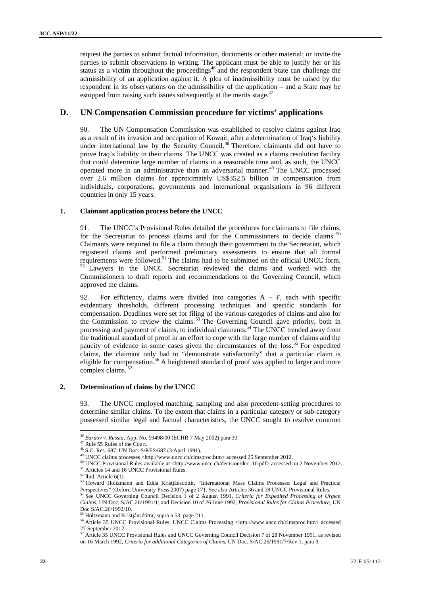request the parties to submit factual information, documents or other material; or invite the parties to submit observations in writing. The applicant must be able to justify her or his status as a victim throughout the proceedings<sup>46</sup> and the respondent State can challenge the admissibility of an application against it. A plea of inadmissibility must be raised by the respondent in its observations on the admissibility of the application – and a State may be estopped from raising such issues subsequently at the merits stage.<sup>47</sup>

### **D. UN Compensation Commission procedure for victims' applications**

90. The UN Compensation Commission was established to resolve claims against Iraq as a result of its invasion and occupation of Kuwait, after a determination of Iraq's liability under international law by the Security Council.<sup>48</sup> Therefore, claimants did not have to prove Iraq's liability in their claims. The UNCC was created as a claims resolution facility that could determine large number of claims in a reasonable time and, as such, the UNCC operated more in an administrative than an adversarial manner.<sup>49</sup> The UNCC processed over 2.6 million claims for approximately US\$352.5 billion in compensation from individuals, corporations, governments and international organisations in 96 different countries in only 15 years.

#### **1. Claimant application process before the UNCC**

91. The UNCC's Provisional Rules detailed the procedures for claimants to file claims, for the Secretariat to process claims and for the Commissioners to decide claims.<sup>50</sup> Claimants were required to file a claim through their government to the Secretariat, which registered claims and performed preliminary assessments to ensure that all formal requirements were followed.<sup>51</sup> The claims had to be submitted on the official UNCC form.  $\frac{52}{2}$  Lawyers in the UNCC Secretariat reviewed the claims and worked with the Commissioners to draft reports and recommendations to the Governing Council, which approved the claims.

92. For efficiency, claims were divided into categories  $A - F$ , each with specific evidentiary thresholds, different processing techniques and specific standards for compensation. Deadlines were set for filing of the various categories of claims and also for the Commission to review the claims.<sup>53</sup> The Governing Council gave priority, both in processing and payment of claims, to individual claimants.<sup>54</sup> The UNCC trended away from the traditional standard of proof in an effort to cope with the large number of claims and the paucity of evidence in some cases given the circumstances of the loss.<sup>55</sup> For expedited claims, the claimant only had to "demonstrate satisfactorily" that a particular claim is eligible for compensation.<sup>56</sup> A heightened standard of proof was applied to larger and more complex claims.<sup>5</sup>

#### **2. Determination of claims by the UNCC**

93. The UNCC employed matching, sampling and also precedent-setting procedures to determine similar claims. To the extent that claims in a particular category or sub-category possessed similar legal and factual characteristics, the UNCC sought to resolve common

 $^{46}$   $Burdov$  v. Russia, App. No. 59498/00 (ECHR 7 May 2002) para 30.  $^{47}$  Rule 55 Rules of the Court.

<sup>48</sup> S.C. Res. 687, UN Doc. S/RES/687 (3 April 1991).<br><sup>49</sup> UNCC claims processes <http://www.uncc.ch/clmsproc.htm> accessed 25 September 2012.

<sup>&</sup>lt;sup>50</sup> UNCC Provisional Rules available at <http://www.uncc.ch/decision/dec\_10.pdf> accessed on 2 November 2012.<br><sup>51</sup> Articles 14 and 16 UNCC Provisional Rules.

 $52$  Ibid, Article  $6(1)$ .

<sup>53</sup> Howard Holtzmann and Edda Kristjánsdóttir, "International Mass Claims Processes: Legal and Practical Perspectives" (Oxford University Press 2007) page 171. See also Articles 36 and 38 UNCC Provisional Rules. 54 See UNCC Governing Council Decision 1 of 2 August 1991, *Criteria for Expedited Processing of Urgent* 

*Claims*, UN Doc. S/AC.26/1991/1; and Decision 10 of 26 June 1992, *Provisional Rules for Claims Procedure,* UN Doc S/AC.26/1992/10.

<sup>&</sup>lt;sup>55</sup> Holtzmann and Kristjánsdóttir, supra n 53, page 211.<br><sup>56</sup> Article 35 UNCC Provisional Rules. UNCC Claims Processing <http://www.uncc.ch/clmsproc.htm> accessed 27 September 2012.

 $57$  Article 35 UNCC Provisional Rules and UNCC Governing Council Decision 7 of 28 November 1991, as revised on 16 March 1992, *Criteria for additional Categories of Claims,* UN Doc. S/AC.26/1991/7/Rev.1, para 3.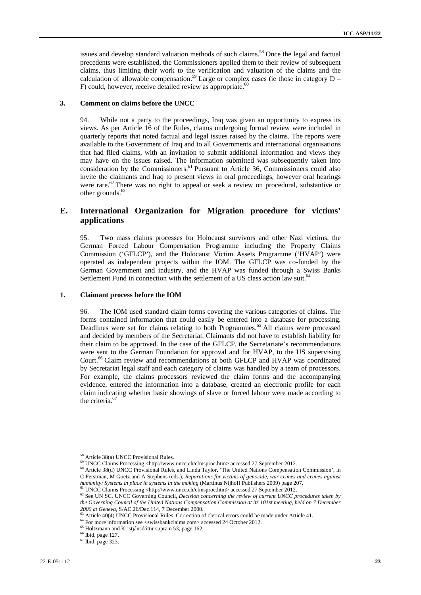issues and develop standard valuation methods of such claims.<sup>58</sup> Once the legal and factual precedents were established, the Commissioners applied them to their review of subsequent claims, thus limiting their work to the verification and valuation of the claims and the calculation of allowable compensation.<sup>59</sup> Large or complex cases (ie those in category  $D -$ F) could, however, receive detailed review as appropriate.<sup>60</sup>

#### **3. Comment on claims before the UNCC**

94. While not a party to the proceedings, Iraq was given an opportunity to express its views. As per Article 16 of the Rules, claims undergoing formal review were included in quarterly reports that noted factual and legal issues raised by the claims. The reports were available to the Government of Iraq and to all Governments and international organisations that had filed claims, with an invitation to submit additional information and views they may have on the issues raised. The information submitted was subsequently taken into consideration by the Commissioners.<sup>61</sup> Pursuant to Article 36, Commissioners could also invite the claimants and Iraq to present views in oral proceedings, however oral hearings were rare.<sup>62</sup> There was no right to appeal or seek a review on procedural, substantive or other grounds.<sup>63</sup>

## **E. International Organization for Migration procedure for victims' applications**

95. Two mass claims processes for Holocaust survivors and other Nazi victims, the German Forced Labour Compensation Programme including the Property Claims Commission ('GFLCP'), and the Holocaust Victim Assets Programme ('HVAP') were operated as independent projects within the IOM. The GFLCP was co-funded by the German Government and industry, and the HVAP was funded through a Swiss Banks Settlement Fund in connection with the settlement of a US class action law suit.<sup>64</sup>

#### **1. Claimant process before the IOM**

96. The IOM used standard claim forms covering the various categories of claims. The forms contained information that could easily be entered into a database for processing. Deadlines were set for claims relating to both Programmes.<sup>65</sup> All claims were processed and decided by members of the Secretariat. Claimants did not have to establish liability for their claim to be approved. In the case of the GFLCP, the Secretariate's recommendations were sent to the German Foundation for approval and for HVAP, to the US supervising Court.66 Claim review and recommendations at both GFLCP and HVAP was coordinated by Secretariat legal staff and each category of claims was handled by a team of processors. For example, the claims processors reviewed the claim forms and the accompanying evidence, entered the information into a database, created an electronic profile for each claim indicating whether basic showings of slave or forced labour were made according to the criteria.<sup>67</sup>

<sup>&</sup>lt;sup>58</sup> Article 38(a) UNCC Provisional Rules.<br><sup>59</sup> UNCC Claims Processing <http://www.uncc.ch/clmsproc.htm> accessed 27 September 2012.

<sup>&</sup>lt;sup>60</sup> Article 38(d) UNCC Provisional Rules, and Linda Taylor, 'The United Nations Compensation Commission', in C Ferstman, M Goetz and A Stephens (eds.), *Reparations for victims of genocide, war crimes and crimes against*  humanity: Systems in place in systems in the making (Martinus Nijhoff Publishers 2009) page 207.<br><sup>61</sup> UNCC Claims Processing <http://www.uncc.ch/clmsproc.htm> accessed 27 September 2012.<br><sup>62</sup> See UN SC, UNCC Governing Cou

*the Governing Council of the United Nations Compensation Commission at its 101st meeting, held on 7 December 2000 at Geneva, S/AC.26/Dec.114, 7 December 2000.* 

<sup>&</sup>lt;sup>63</sup> Article 40(4) UNCC Provisional Rules. Correction of clerical errors could be made under Article 41.<br><sup>64</sup> For more information see  $\leq$ swissbankclaims.com> accessed 24 October 2012.<br><sup>65</sup> Holtzmann and Kristjánsdóttir

 $67$  Ibid, page 323.